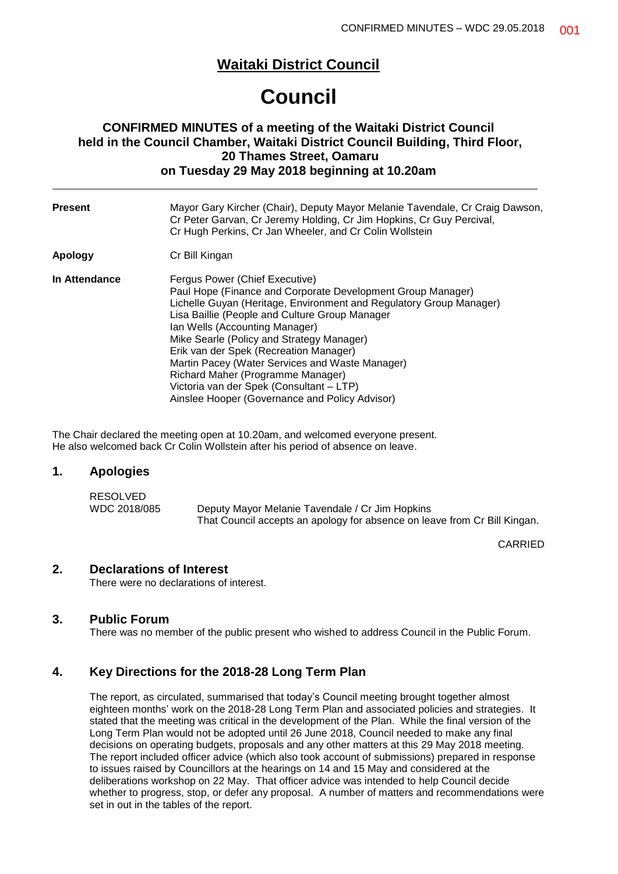# **Waitaki District Council**

# **Council**

# **CONFIRMED MINUTES of a meeting of the Waitaki District Council held in the Council Chamber, Waitaki District Council Building, Third Floor, 20 Thames Street, Oamaru on Tuesday 29 May 2018 beginning at 10.20am**

| <b>Present</b> | Mayor Gary Kircher (Chair), Deputy Mayor Melanie Tavendale, Cr Craig Dawson,<br>Cr Peter Garvan, Cr Jeremy Holding, Cr Jim Hopkins, Cr Guy Percival,<br>Cr Hugh Perkins, Cr Jan Wheeler, and Cr Colin Wollstein                                                                                                                                                                                                                                                                                                                       |
|----------------|---------------------------------------------------------------------------------------------------------------------------------------------------------------------------------------------------------------------------------------------------------------------------------------------------------------------------------------------------------------------------------------------------------------------------------------------------------------------------------------------------------------------------------------|
| Apology        | Cr Bill Kingan                                                                                                                                                                                                                                                                                                                                                                                                                                                                                                                        |
| In Attendance  | Fergus Power (Chief Executive)<br>Paul Hope (Finance and Corporate Development Group Manager)<br>Lichelle Guyan (Heritage, Environment and Regulatory Group Manager)<br>Lisa Baillie (People and Culture Group Manager<br>Ian Wells (Accounting Manager)<br>Mike Searle (Policy and Strategy Manager)<br>Erik van der Spek (Recreation Manager)<br>Martin Pacey (Water Services and Waste Manager)<br>Richard Maher (Programme Manager)<br>Victoria van der Spek (Consultant – LTP)<br>Ainslee Hooper (Governance and Policy Advisor) |

The Chair declared the meeting open at 10.20am, and welcomed everyone present. He also welcomed back Cr Colin Wollstein after his period of absence on leave.

# **1. Apologies**

| RESOLVED     |                                                                           |
|--------------|---------------------------------------------------------------------------|
| WDC 2018/085 | Deputy Mayor Melanie Tavendale / Cr Jim Hopkins                           |
|              | That Council accepts an apology for absence on leave from Cr Bill Kingan. |

CARRIED

## **2. Declarations of Interest**

There were no declarations of interest.

# **3. Public Forum**

There was no member of the public present who wished to address Council in the Public Forum.

# **4. Key Directions for the 2018-28 Long Term Plan**

The report, as circulated, summarised that today's Council meeting brought together almost eighteen months' work on the 2018-28 Long Term Plan and associated policies and strategies. It stated that the meeting was critical in the development of the Plan. While the final version of the Long Term Plan would not be adopted until 26 June 2018, Council needed to make any final decisions on operating budgets, proposals and any other matters at this 29 May 2018 meeting. The report included officer advice (which also took account of submissions) prepared in response to issues raised by Councillors at the hearings on 14 and 15 May and considered at the deliberations workshop on 22 May. That officer advice was intended to help Council decide whether to progress, stop, or defer any proposal. A number of matters and recommendations were set in out in the tables of the report.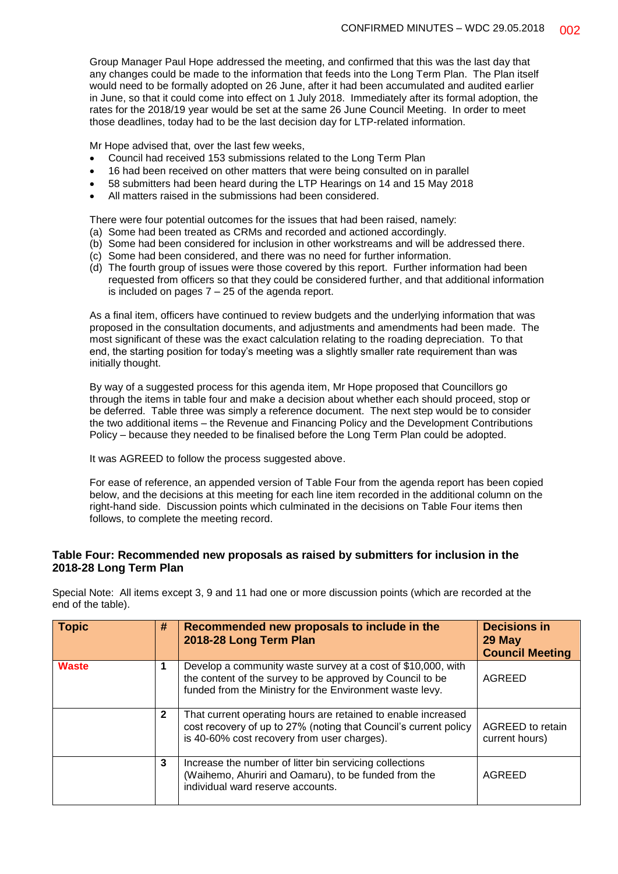Group Manager Paul Hope addressed the meeting, and confirmed that this was the last day that any changes could be made to the information that feeds into the Long Term Plan. The Plan itself would need to be formally adopted on 26 June, after it had been accumulated and audited earlier in June, so that it could come into effect on 1 July 2018. Immediately after its formal adoption, the rates for the 2018/19 year would be set at the same 26 June Council Meeting. In order to meet those deadlines, today had to be the last decision day for LTP-related information.

Mr Hope advised that, over the last few weeks,

- Council had received 153 submissions related to the Long Term Plan
- 16 had been received on other matters that were being consulted on in parallel
- 58 submitters had been heard during the LTP Hearings on 14 and 15 May 2018
- All matters raised in the submissions had been considered.

There were four potential outcomes for the issues that had been raised, namely:

- (a) Some had been treated as CRMs and recorded and actioned accordingly.
- (b) Some had been considered for inclusion in other workstreams and will be addressed there.
- (c) Some had been considered, and there was no need for further information.
- (d) The fourth group of issues were those covered by this report. Further information had been requested from officers so that they could be considered further, and that additional information is included on pages  $7 - 25$  of the agenda report.

As a final item, officers have continued to review budgets and the underlying information that was proposed in the consultation documents, and adjustments and amendments had been made. The most significant of these was the exact calculation relating to the roading depreciation. To that end, the starting position for today's meeting was a slightly smaller rate requirement than was initially thought.

By way of a suggested process for this agenda item, Mr Hope proposed that Councillors go through the items in table four and make a decision about whether each should proceed, stop or be deferred. Table three was simply a reference document. The next step would be to consider the two additional items – the Revenue and Financing Policy and the Development Contributions Policy – because they needed to be finalised before the Long Term Plan could be adopted.

It was AGREED to follow the process suggested above.

For ease of reference, an appended version of Table Four from the agenda report has been copied below, and the decisions at this meeting for each line item recorded in the additional column on the right-hand side. Discussion points which culminated in the decisions on Table Four items then follows, to complete the meeting record.

# **Table Four: Recommended new proposals as raised by submitters for inclusion in the 2018-28 Long Term Plan**

Special Note: All items except 3, 9 and 11 had one or more discussion points (which are recorded at the end of the table).

| <b>Topic</b> | #            | Recommended new proposals to include in the<br>2018-28 Long Term Plan                                                                                                                 | <b>Decisions in</b><br>29 May<br><b>Council Meeting</b> |
|--------------|--------------|---------------------------------------------------------------------------------------------------------------------------------------------------------------------------------------|---------------------------------------------------------|
| <b>Waste</b> |              | Develop a community waste survey at a cost of \$10,000, with<br>the content of the survey to be approved by Council to be<br>funded from the Ministry for the Environment waste levy. | AGREED                                                  |
|              | $\mathbf{2}$ | That current operating hours are retained to enable increased<br>cost recovery of up to 27% (noting that Council's current policy<br>is 40-60% cost recovery from user charges).      | AGREED to retain<br>current hours)                      |
|              | 3            | Increase the number of litter bin servicing collections<br>(Waihemo, Ahuriri and Oamaru), to be funded from the<br>individual ward reserve accounts.                                  | AGREED                                                  |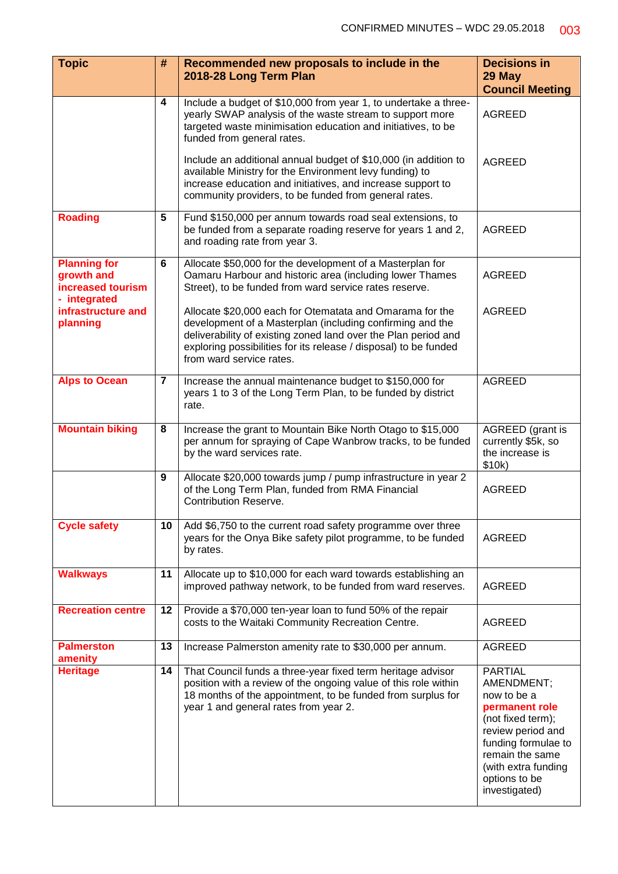| <b>Topic</b>                                                           | #                       | <b>Decisions in</b><br>Recommended new proposals to include in the<br>2018-28 Long Term Plan<br>29 May                                                                                                                                                                                  |                                                                                                                                                                                                            |  |
|------------------------------------------------------------------------|-------------------------|-----------------------------------------------------------------------------------------------------------------------------------------------------------------------------------------------------------------------------------------------------------------------------------------|------------------------------------------------------------------------------------------------------------------------------------------------------------------------------------------------------------|--|
|                                                                        |                         |                                                                                                                                                                                                                                                                                         | <b>Council Meeting</b>                                                                                                                                                                                     |  |
|                                                                        | 4                       | Include a budget of \$10,000 from year 1, to undertake a three-<br>yearly SWAP analysis of the waste stream to support more<br>targeted waste minimisation education and initiatives, to be<br>funded from general rates.                                                               | <b>AGREED</b>                                                                                                                                                                                              |  |
|                                                                        |                         | Include an additional annual budget of \$10,000 (in addition to<br>available Ministry for the Environment levy funding) to<br>increase education and initiatives, and increase support to<br>community providers, to be funded from general rates.                                      | <b>AGREED</b>                                                                                                                                                                                              |  |
| <b>Roading</b>                                                         | 5                       | Fund \$150,000 per annum towards road seal extensions, to<br>be funded from a separate roading reserve for years 1 and 2,<br>and roading rate from year 3.                                                                                                                              | <b>AGREED</b>                                                                                                                                                                                              |  |
| <b>Planning for</b><br>growth and<br>increased tourism<br>- integrated | 6                       | Allocate \$50,000 for the development of a Masterplan for<br>Oamaru Harbour and historic area (including lower Thames<br>Street), to be funded from ward service rates reserve.                                                                                                         | <b>AGREED</b>                                                                                                                                                                                              |  |
| infrastructure and<br>planning                                         |                         | Allocate \$20,000 each for Otematata and Omarama for the<br>development of a Masterplan (including confirming and the<br>deliverability of existing zoned land over the Plan period and<br>exploring possibilities for its release / disposal) to be funded<br>from ward service rates. | <b>AGREED</b>                                                                                                                                                                                              |  |
| <b>Alps to Ocean</b>                                                   | $\overline{\mathbf{r}}$ | Increase the annual maintenance budget to \$150,000 for<br>years 1 to 3 of the Long Term Plan, to be funded by district<br>rate.                                                                                                                                                        | <b>AGREED</b>                                                                                                                                                                                              |  |
| <b>Mountain biking</b>                                                 | 8                       | Increase the grant to Mountain Bike North Otago to \$15,000<br>per annum for spraying of Cape Wanbrow tracks, to be funded<br>by the ward services rate.                                                                                                                                | AGREED (grant is<br>currently \$5k, so<br>the increase is<br>\$10k)                                                                                                                                        |  |
|                                                                        | 9                       | Allocate \$20,000 towards jump / pump infrastructure in year 2<br>of the Long Term Plan, funded from RMA Financial<br><b>Contribution Reserve.</b>                                                                                                                                      | AGREED                                                                                                                                                                                                     |  |
| <b>Cycle safety</b>                                                    | 10                      | Add \$6,750 to the current road safety programme over three<br>years for the Onya Bike safety pilot programme, to be funded<br>by rates.                                                                                                                                                | <b>AGREED</b>                                                                                                                                                                                              |  |
| <b>Walkways</b>                                                        | 11                      | Allocate up to \$10,000 for each ward towards establishing an<br>improved pathway network, to be funded from ward reserves.<br>AGREED                                                                                                                                                   |                                                                                                                                                                                                            |  |
| <b>Recreation centre</b>                                               | 12                      | Provide a \$70,000 ten-year loan to fund 50% of the repair<br>costs to the Waitaki Community Recreation Centre.                                                                                                                                                                         | AGREED                                                                                                                                                                                                     |  |
| <b>Palmerston</b><br>amenity                                           | 13                      | Increase Palmerston amenity rate to \$30,000 per annum.                                                                                                                                                                                                                                 | <b>AGREED</b>                                                                                                                                                                                              |  |
| <b>Heritage</b>                                                        | 14                      | That Council funds a three-year fixed term heritage advisor<br>position with a review of the ongoing value of this role within<br>18 months of the appointment, to be funded from surplus for<br>year 1 and general rates from year 2.                                                  | <b>PARTIAL</b><br>AMENDMENT;<br>now to be a<br>permanent role<br>(not fixed term);<br>review period and<br>funding formulae to<br>remain the same<br>(with extra funding<br>options to be<br>investigated) |  |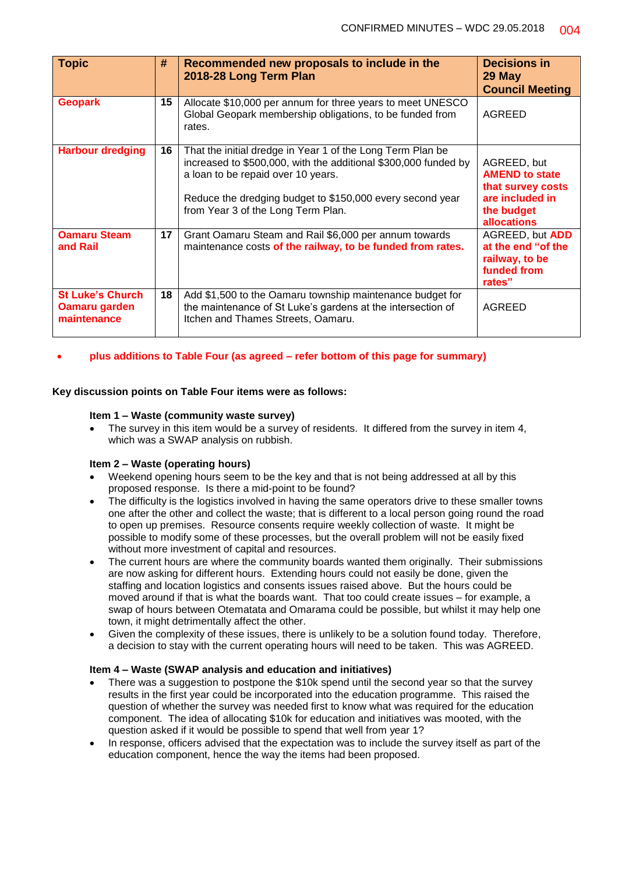| <b>Topic</b>                                            | #  | Recommended new proposals to include in the<br>2018-28 Long Term Plan                                                                                                                                                                                                  | <b>Decisions in</b><br>29 May<br><b>Council Meeting</b>                                                          |
|---------------------------------------------------------|----|------------------------------------------------------------------------------------------------------------------------------------------------------------------------------------------------------------------------------------------------------------------------|------------------------------------------------------------------------------------------------------------------|
| <b>Geopark</b>                                          | 15 | Allocate \$10,000 per annum for three years to meet UNESCO<br>Global Geopark membership obligations, to be funded from<br>rates.                                                                                                                                       | AGREED                                                                                                           |
| <b>Harbour dredging</b>                                 | 16 | That the initial dredge in Year 1 of the Long Term Plan be<br>increased to \$500,000, with the additional \$300,000 funded by<br>a loan to be repaid over 10 years.<br>Reduce the dredging budget to \$150,000 every second year<br>from Year 3 of the Long Term Plan. | AGREED, but<br><b>AMEND to state</b><br>that survey costs<br>are included in<br>the budget<br><b>allocations</b> |
| <b>Oamaru Steam</b><br>and Rail                         | 17 | Grant Oamaru Steam and Rail \$6,000 per annum towards<br>maintenance costs of the railway, to be funded from rates.                                                                                                                                                    | AGREED, but ADD<br>at the end "of the<br>railway, to be<br>funded from<br>rates"                                 |
| <b>St Luke's Church</b><br>Oamaru garden<br>maintenance | 18 | Add \$1,500 to the Oamaru township maintenance budget for<br>the maintenance of St Luke's gardens at the intersection of<br>Itchen and Thames Streets, Oamaru.                                                                                                         | AGREED                                                                                                           |

**plus additions to Table Four (as agreed – refer bottom of this page for summary)**

### **Key discussion points on Table Four items were as follows:**

### **Item 1 – Waste (community waste survey)**

 The survey in this item would be a survey of residents. It differed from the survey in item 4, which was a SWAP analysis on rubbish.

#### **Item 2 – Waste (operating hours)**

- Weekend opening hours seem to be the key and that is not being addressed at all by this proposed response. Is there a mid-point to be found?
- The difficulty is the logistics involved in having the same operators drive to these smaller towns one after the other and collect the waste; that is different to a local person going round the road to open up premises. Resource consents require weekly collection of waste. It might be possible to modify some of these processes, but the overall problem will not be easily fixed without more investment of capital and resources.
- The current hours are where the community boards wanted them originally. Their submissions are now asking for different hours. Extending hours could not easily be done, given the staffing and location logistics and consents issues raised above. But the hours could be moved around if that is what the boards want. That too could create issues – for example, a swap of hours between Otematata and Omarama could be possible, but whilst it may help one town, it might detrimentally affect the other.
- Given the complexity of these issues, there is unlikely to be a solution found today. Therefore, a decision to stay with the current operating hours will need to be taken. This was AGREED.

# **Item 4 – Waste (SWAP analysis and education and initiatives)**

- There was a suggestion to postpone the \$10k spend until the second year so that the survey results in the first year could be incorporated into the education programme. This raised the question of whether the survey was needed first to know what was required for the education component. The idea of allocating \$10k for education and initiatives was mooted, with the question asked if it would be possible to spend that well from year 1?
- In response, officers advised that the expectation was to include the survey itself as part of the education component, hence the way the items had been proposed.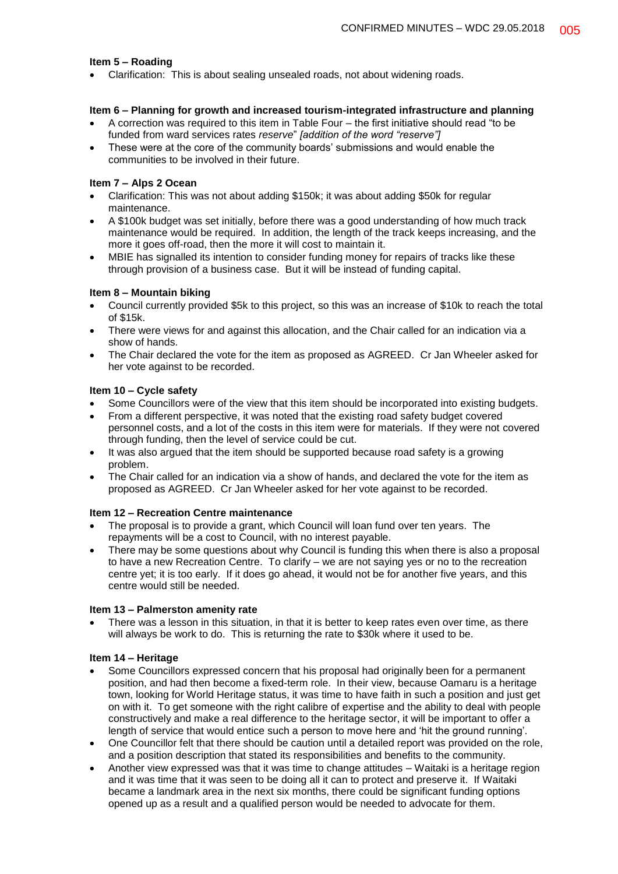# **Item 5 – Roading**

Clarification: This is about sealing unsealed roads, not about widening roads.

### **Item 6 – Planning for growth and increased tourism-integrated infrastructure and planning**

- A correction was required to this item in Table Four the first initiative should read "to be funded from ward services rates *reserve*" *[addition of the word "reserve"]*
- These were at the core of the community boards' submissions and would enable the communities to be involved in their future.

#### **Item 7 – Alps 2 Ocean**

- Clarification: This was not about adding \$150k; it was about adding \$50k for regular maintenance.
- A \$100k budget was set initially, before there was a good understanding of how much track maintenance would be required. In addition, the length of the track keeps increasing, and the more it goes off-road, then the more it will cost to maintain it.
- MBIE has signalled its intention to consider funding money for repairs of tracks like these through provision of a business case. But it will be instead of funding capital.

### **Item 8 – Mountain biking**

- Council currently provided \$5k to this project, so this was an increase of \$10k to reach the total of \$15k.
- There were views for and against this allocation, and the Chair called for an indication via a show of hands.
- The Chair declared the vote for the item as proposed as AGREED. Cr Jan Wheeler asked for her vote against to be recorded.

## **Item 10 – Cycle safety**

- Some Councillors were of the view that this item should be incorporated into existing budgets.
- From a different perspective, it was noted that the existing road safety budget covered personnel costs, and a lot of the costs in this item were for materials. If they were not covered through funding, then the level of service could be cut.
- It was also argued that the item should be supported because road safety is a growing problem.
- The Chair called for an indication via a show of hands, and declared the vote for the item as proposed as AGREED. Cr Jan Wheeler asked for her vote against to be recorded.

# **Item 12 – Recreation Centre maintenance**

- The proposal is to provide a grant, which Council will loan fund over ten years. The repayments will be a cost to Council, with no interest payable.
- There may be some questions about why Council is funding this when there is also a proposal to have a new Recreation Centre. To clarify – we are not saying yes or no to the recreation centre yet; it is too early. If it does go ahead, it would not be for another five years, and this centre would still be needed.

# **Item 13 – Palmerston amenity rate**

 There was a lesson in this situation, in that it is better to keep rates even over time, as there will always be work to do. This is returning the rate to \$30k where it used to be.

#### **Item 14 – Heritage**

- Some Councillors expressed concern that his proposal had originally been for a permanent position, and had then become a fixed-term role. In their view, because Oamaru is a heritage town, looking for World Heritage status, it was time to have faith in such a position and just get on with it. To get someone with the right calibre of expertise and the ability to deal with people constructively and make a real difference to the heritage sector, it will be important to offer a length of service that would entice such a person to move here and 'hit the ground running'.
- One Councillor felt that there should be caution until a detailed report was provided on the role, and a position description that stated its responsibilities and benefits to the community.
- Another view expressed was that it was time to change attitudes Waitaki is a heritage region and it was time that it was seen to be doing all it can to protect and preserve it. If Waitaki became a landmark area in the next six months, there could be significant funding options opened up as a result and a qualified person would be needed to advocate for them.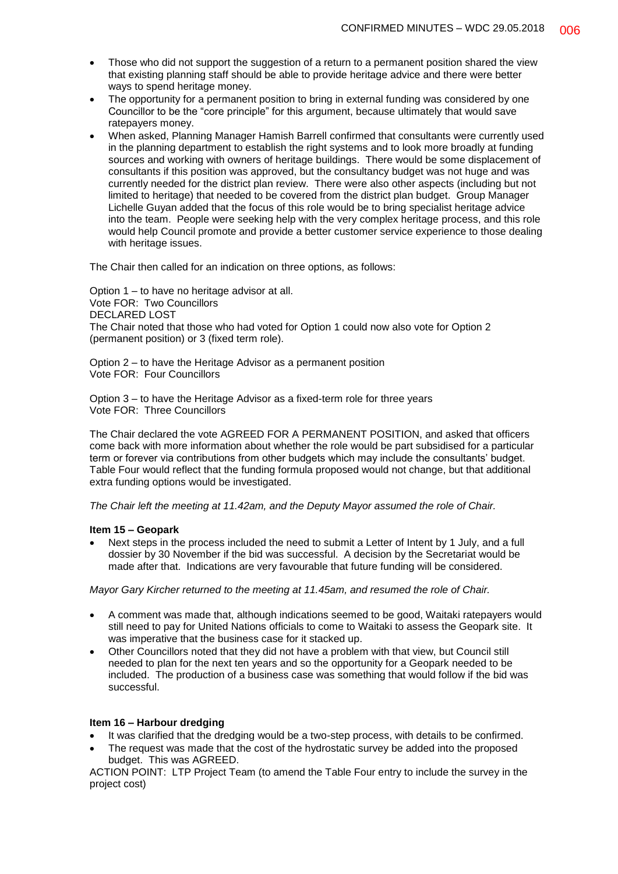- Those who did not support the suggestion of a return to a permanent position shared the view that existing planning staff should be able to provide heritage advice and there were better ways to spend heritage money.
- The opportunity for a permanent position to bring in external funding was considered by one Councillor to be the "core principle" for this argument, because ultimately that would save ratepayers money.
- When asked, Planning Manager Hamish Barrell confirmed that consultants were currently used in the planning department to establish the right systems and to look more broadly at funding sources and working with owners of heritage buildings. There would be some displacement of consultants if this position was approved, but the consultancy budget was not huge and was currently needed for the district plan review. There were also other aspects (including but not limited to heritage) that needed to be covered from the district plan budget. Group Manager Lichelle Guyan added that the focus of this role would be to bring specialist heritage advice into the team. People were seeking help with the very complex heritage process, and this role would help Council promote and provide a better customer service experience to those dealing with heritage issues.

The Chair then called for an indication on three options, as follows:

Option 1 – to have no heritage advisor at all. Vote FOR: Two Councillors DECLARED LOST The Chair noted that those who had voted for Option 1 could now also vote for Option 2 (permanent position) or 3 (fixed term role).

Option 2 – to have the Heritage Advisor as a permanent position Vote FOR: Four Councillors

Option 3 – to have the Heritage Advisor as a fixed-term role for three years Vote FOR: Three Councillors

The Chair declared the vote AGREED FOR A PERMANENT POSITION, and asked that officers come back with more information about whether the role would be part subsidised for a particular term or forever via contributions from other budgets which may include the consultants' budget. Table Four would reflect that the funding formula proposed would not change, but that additional extra funding options would be investigated.

*The Chair left the meeting at 11.42am, and the Deputy Mayor assumed the role of Chair.*

#### **Item 15 – Geopark**

 Next steps in the process included the need to submit a Letter of Intent by 1 July, and a full dossier by 30 November if the bid was successful. A decision by the Secretariat would be made after that. Indications are very favourable that future funding will be considered.

*Mayor Gary Kircher returned to the meeting at 11.45am, and resumed the role of Chair.*

- A comment was made that, although indications seemed to be good, Waitaki ratepayers would still need to pay for United Nations officials to come to Waitaki to assess the Geopark site. It was imperative that the business case for it stacked up.
- Other Councillors noted that they did not have a problem with that view, but Council still needed to plan for the next ten years and so the opportunity for a Geopark needed to be included. The production of a business case was something that would follow if the bid was successful.

#### **Item 16 – Harbour dredging**

- It was clarified that the dredging would be a two-step process, with details to be confirmed.
- The request was made that the cost of the hydrostatic survey be added into the proposed budget. This was AGREED.

ACTION POINT: LTP Project Team (to amend the Table Four entry to include the survey in the project cost)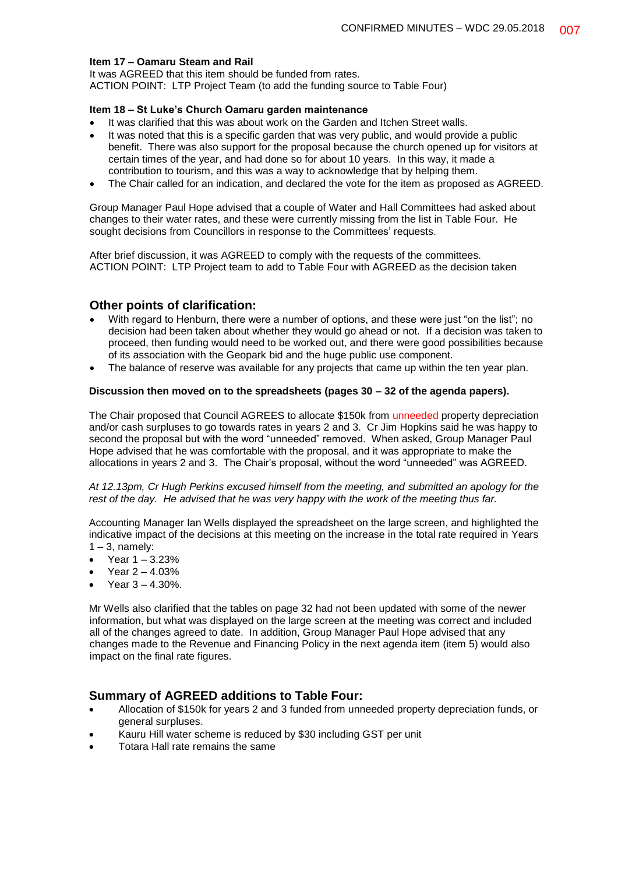# **Item 17 – Oamaru Steam and Rail**

It was AGREED that this item should be funded from rates. ACTION POINT: LTP Project Team (to add the funding source to Table Four)

### **Item 18 – St Luke's Church Oamaru garden maintenance**

- It was clarified that this was about work on the Garden and Itchen Street walls.
- It was noted that this is a specific garden that was very public, and would provide a public benefit. There was also support for the proposal because the church opened up for visitors at certain times of the year, and had done so for about 10 years. In this way, it made a contribution to tourism, and this was a way to acknowledge that by helping them.
- The Chair called for an indication, and declared the vote for the item as proposed as AGREED.

Group Manager Paul Hope advised that a couple of Water and Hall Committees had asked about changes to their water rates, and these were currently missing from the list in Table Four. He sought decisions from Councillors in response to the Committees' requests.

After brief discussion, it was AGREED to comply with the requests of the committees. ACTION POINT: LTP Project team to add to Table Four with AGREED as the decision taken

# **Other points of clarification:**

- With regard to Henburn, there were a number of options, and these were just "on the list"; no decision had been taken about whether they would go ahead or not. If a decision was taken to proceed, then funding would need to be worked out, and there were good possibilities because of its association with the Geopark bid and the huge public use component.
- The balance of reserve was available for any projects that came up within the ten year plan.

### **Discussion then moved on to the spreadsheets (pages 30 – 32 of the agenda papers).**

The Chair proposed that Council AGREES to allocate \$150k from unneeded property depreciation and/or cash surpluses to go towards rates in years 2 and 3. Cr Jim Hopkins said he was happy to second the proposal but with the word "unneeded" removed. When asked, Group Manager Paul Hope advised that he was comfortable with the proposal, and it was appropriate to make the allocations in years 2 and 3. The Chair's proposal, without the word "unneeded" was AGREED.

### *At 12.13pm, Cr Hugh Perkins excused himself from the meeting, and submitted an apology for the rest of the day. He advised that he was very happy with the work of the meeting thus far.*

Accounting Manager Ian Wells displayed the spreadsheet on the large screen, and highlighted the indicative impact of the decisions at this meeting on the increase in the total rate required in Years  $1 - 3$ , namely:

- Year 1 3.23%
- Year 2 4.03%
- Year 3 4.30%.

Mr Wells also clarified that the tables on page 32 had not been updated with some of the newer information, but what was displayed on the large screen at the meeting was correct and included all of the changes agreed to date. In addition, Group Manager Paul Hope advised that any changes made to the Revenue and Financing Policy in the next agenda item (item 5) would also impact on the final rate figures.

# **Summary of AGREED additions to Table Four:**

- Allocation of \$150k for years 2 and 3 funded from unneeded property depreciation funds, or general surpluses.
- Kauru Hill water scheme is reduced by \$30 including GST per unit
- Totara Hall rate remains the same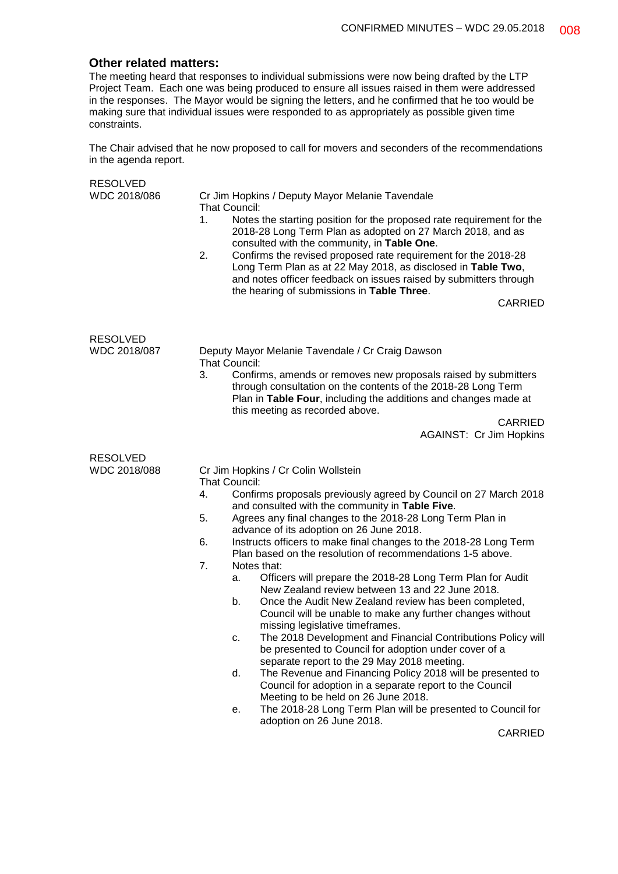# **Other related matters:**

The meeting heard that responses to individual submissions were now being drafted by the LTP Project Team. Each one was being produced to ensure all issues raised in them were addressed in the responses. The Mayor would be signing the letters, and he confirmed that he too would be making sure that individual issues were responded to as appropriately as possible given time constraints.

The Chair advised that he now proposed to call for movers and seconders of the recommendations in the agenda report.

| <b>RESOLVED</b>                 |                |                                                                                                              |
|---------------------------------|----------------|--------------------------------------------------------------------------------------------------------------|
| WDC 2018/086                    |                | Cr Jim Hopkins / Deputy Mayor Melanie Tavendale                                                              |
|                                 | That Council:  |                                                                                                              |
|                                 | 1.             | Notes the starting position for the proposed rate requirement for the                                        |
|                                 |                | 2018-28 Long Term Plan as adopted on 27 March 2018, and as<br>consulted with the community, in Table One.    |
|                                 | 2.             | Confirms the revised proposed rate requirement for the 2018-28                                               |
|                                 |                | Long Term Plan as at 22 May 2018, as disclosed in Table Two,                                                 |
|                                 |                | and notes officer feedback on issues raised by submitters through                                            |
|                                 |                | the hearing of submissions in Table Three.                                                                   |
|                                 |                | <b>CARRIED</b>                                                                                               |
|                                 |                |                                                                                                              |
|                                 |                |                                                                                                              |
| <b>RESOLVED</b><br>WDC 2018/087 |                |                                                                                                              |
|                                 | That Council:  | Deputy Mayor Melanie Tavendale / Cr Craig Dawson                                                             |
|                                 | 3.             | Confirms, amends or removes new proposals raised by submitters                                               |
|                                 |                | through consultation on the contents of the 2018-28 Long Term                                                |
|                                 |                | Plan in Table Four, including the additions and changes made at                                              |
|                                 |                | this meeting as recorded above.                                                                              |
|                                 |                | <b>CARRIED</b>                                                                                               |
|                                 |                | <b>AGAINST: Cr Jim Hopkins</b>                                                                               |
|                                 |                |                                                                                                              |
| <b>RESOLVED</b>                 |                |                                                                                                              |
| WDC 2018/088                    |                | Cr Jim Hopkins / Cr Colin Wollstein                                                                          |
|                                 | That Council:  |                                                                                                              |
|                                 | 4.             | Confirms proposals previously agreed by Council on 27 March 2018                                             |
|                                 | 5.             | and consulted with the community in Table Five.<br>Agrees any final changes to the 2018-28 Long Term Plan in |
|                                 |                | advance of its adoption on 26 June 2018.                                                                     |
|                                 | 6.             | Instructs officers to make final changes to the 2018-28 Long Term                                            |
|                                 |                | Plan based on the resolution of recommendations 1-5 above.                                                   |
|                                 | 7 <sub>1</sub> | Notes that:                                                                                                  |
|                                 | а.             | Officers will prepare the 2018-28 Long Term Plan for Audit                                                   |
|                                 |                | New Zealand review between 13 and 22 June 2018.                                                              |
|                                 | b.             | Once the Audit New Zealand review has been completed,                                                        |
|                                 |                | Council will be unable to make any further changes without                                                   |
|                                 |                | missing legislative timeframes.                                                                              |
|                                 | c.             | The 2018 Development and Financial Contributions Policy will                                                 |
|                                 |                | be presented to Council for adoption under cover of a                                                        |
|                                 |                | separate report to the 29 May 2018 meeting.                                                                  |
|                                 | d.             | The Revenue and Financing Policy 2018 will be presented to                                                   |
|                                 |                | Council for adoption in a separate report to the Council                                                     |
|                                 |                | Meeting to be held on 26 June 2018.                                                                          |
|                                 | е.             | The 2018-28 Long Term Plan will be presented to Council for<br>adoption on 26 June 2018.                     |
|                                 |                | CARRIED                                                                                                      |
|                                 |                |                                                                                                              |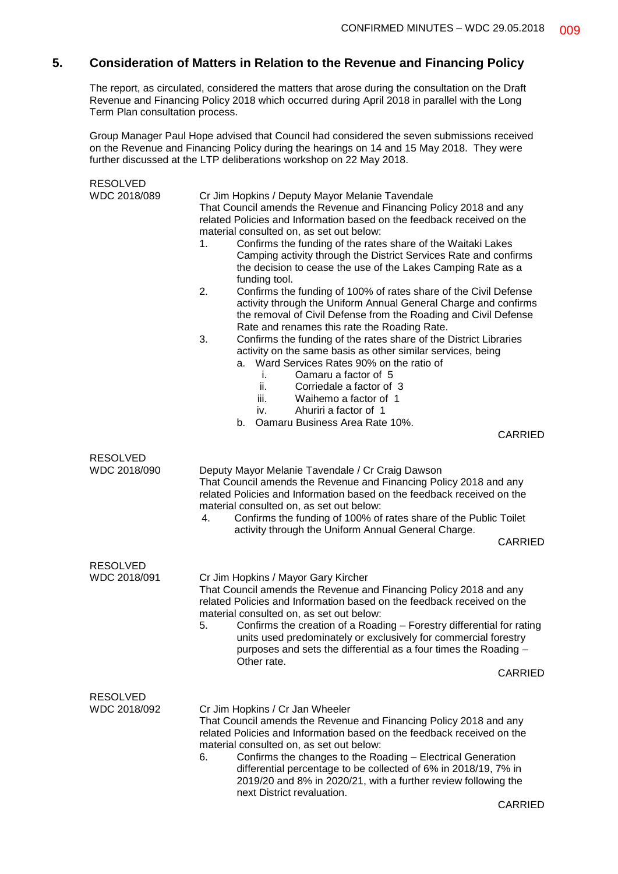# **5. Consideration of Matters in Relation to the Revenue and Financing Policy**

The report, as circulated, considered the matters that arose during the consultation on the Draft Revenue and Financing Policy 2018 which occurred during April 2018 in parallel with the Long Term Plan consultation process.

Group Manager Paul Hope advised that Council had considered the seven submissions received on the Revenue and Financing Policy during the hearings on 14 and 15 May 2018. They were further discussed at the LTP deliberations workshop on 22 May 2018.

| <b>RESOLVED</b>                 |                                                                                                                                                                                                                                                                                                                                                                                                                                                                                                                                                                                                                                                                                                                                                                                                                                                                                                                                                                                                                                                                                                                           |
|---------------------------------|---------------------------------------------------------------------------------------------------------------------------------------------------------------------------------------------------------------------------------------------------------------------------------------------------------------------------------------------------------------------------------------------------------------------------------------------------------------------------------------------------------------------------------------------------------------------------------------------------------------------------------------------------------------------------------------------------------------------------------------------------------------------------------------------------------------------------------------------------------------------------------------------------------------------------------------------------------------------------------------------------------------------------------------------------------------------------------------------------------------------------|
| WDC 2018/089                    | Cr Jim Hopkins / Deputy Mayor Melanie Tavendale<br>That Council amends the Revenue and Financing Policy 2018 and any<br>related Policies and Information based on the feedback received on the<br>material consulted on, as set out below:<br>Confirms the funding of the rates share of the Waitaki Lakes<br>1.<br>Camping activity through the District Services Rate and confirms<br>the decision to cease the use of the Lakes Camping Rate as a<br>funding tool.<br>2.<br>Confirms the funding of 100% of rates share of the Civil Defense<br>activity through the Uniform Annual General Charge and confirms<br>the removal of Civil Defense from the Roading and Civil Defense<br>Rate and renames this rate the Roading Rate.<br>3.<br>Confirms the funding of the rates share of the District Libraries<br>activity on the same basis as other similar services, being<br>a. Ward Services Rates 90% on the ratio of<br>Oamaru a factor of 5<br>i.<br>ii.<br>Corriedale a factor of 3<br>Waihemo a factor of 1<br>iii.<br>Ahuriri a factor of 1<br>iv.<br>Oamaru Business Area Rate 10%.<br>b.<br><b>CARRIED</b> |
|                                 |                                                                                                                                                                                                                                                                                                                                                                                                                                                                                                                                                                                                                                                                                                                                                                                                                                                                                                                                                                                                                                                                                                                           |
| <b>RESOLVED</b><br>WDC 2018/090 | Deputy Mayor Melanie Tavendale / Cr Craig Dawson<br>That Council amends the Revenue and Financing Policy 2018 and any<br>related Policies and Information based on the feedback received on the<br>material consulted on, as set out below:<br>Confirms the funding of 100% of rates share of the Public Toilet<br>4.<br>activity through the Uniform Annual General Charge.<br><b>CARRIED</b>                                                                                                                                                                                                                                                                                                                                                                                                                                                                                                                                                                                                                                                                                                                            |
| <b>RESOLVED</b><br>WDC 2018/091 | Cr Jim Hopkins / Mayor Gary Kircher<br>That Council amends the Revenue and Financing Policy 2018 and any<br>related Policies and Information based on the feedback received on the<br>material consulted on, as set out below:<br>Confirms the creation of a Roading - Forestry differential for rating<br>5.<br>units used predominately or exclusively for commercial forestry<br>purposes and sets the differential as a four times the Roading -<br>Other rate.<br><b>CARRIED</b>                                                                                                                                                                                                                                                                                                                                                                                                                                                                                                                                                                                                                                     |
| <b>RESOLVED</b><br>WDC 2018/092 | Cr Jim Hopkins / Cr Jan Wheeler<br>That Council amends the Revenue and Financing Policy 2018 and any<br>related Policies and Information based on the feedback received on the<br>material consulted on, as set out below:<br>Confirms the changes to the Roading - Electrical Generation<br>6.<br>differential percentage to be collected of 6% in 2018/19, 7% in<br>2019/20 and 8% in 2020/21, with a further review following the<br>next District revaluation.                                                                                                                                                                                                                                                                                                                                                                                                                                                                                                                                                                                                                                                        |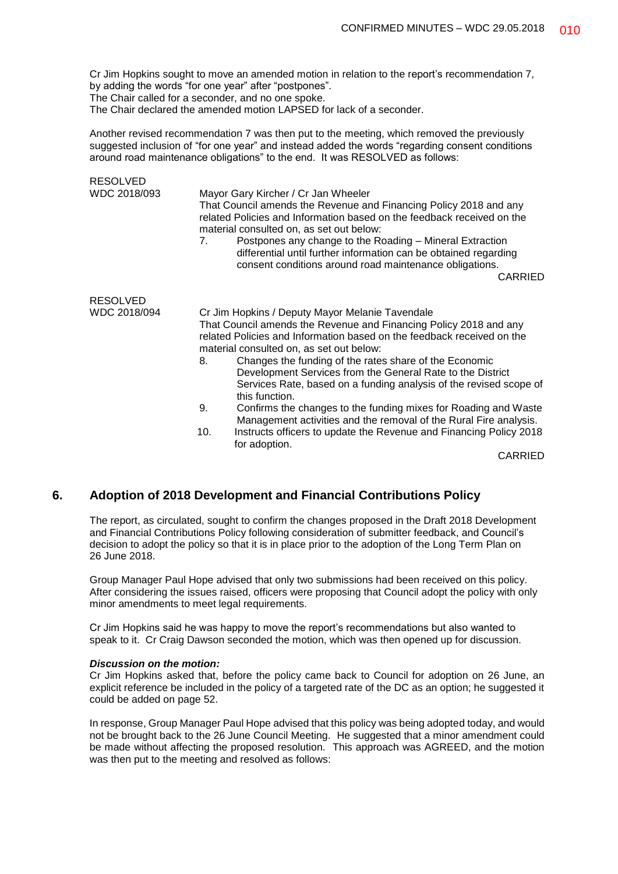Cr Jim Hopkins sought to move an amended motion in relation to the report's recommendation 7, by adding the words "for one year" after "postpones".

The Chair called for a seconder, and no one spoke.

The Chair declared the amended motion LAPSED for lack of a seconder.

Another revised recommendation 7 was then put to the meeting, which removed the previously suggested inclusion of "for one year" and instead added the words "regarding consent conditions around road maintenance obligations" to the end. It was RESOLVED as follows:

| <b>RESOLVED</b> |                                                                                                                                                                                         |                                                                                                                                                                                                                                                                                                                                                                                                                                      |  |
|-----------------|-----------------------------------------------------------------------------------------------------------------------------------------------------------------------------------------|--------------------------------------------------------------------------------------------------------------------------------------------------------------------------------------------------------------------------------------------------------------------------------------------------------------------------------------------------------------------------------------------------------------------------------------|--|
| WDC 2018/093    | $7_{\scriptscriptstyle{\sim}}$                                                                                                                                                          | Mayor Gary Kircher / Cr Jan Wheeler<br>That Council amends the Revenue and Financing Policy 2018 and any<br>related Policies and Information based on the feedback received on the<br>material consulted on, as set out below:<br>Postpones any change to the Roading – Mineral Extraction<br>differential until further information can be obtained regarding<br>consent conditions around road maintenance obligations.<br>CARRIED |  |
| <b>RESOLVED</b> |                                                                                                                                                                                         |                                                                                                                                                                                                                                                                                                                                                                                                                                      |  |
| WDC 2018/094    |                                                                                                                                                                                         | Cr Jim Hopkins / Deputy Mayor Melanie Tavendale                                                                                                                                                                                                                                                                                                                                                                                      |  |
|                 | That Council amends the Revenue and Financing Policy 2018 and any<br>related Policies and Information based on the feedback received on the<br>material consulted on, as set out below: |                                                                                                                                                                                                                                                                                                                                                                                                                                      |  |
|                 | 8.                                                                                                                                                                                      | Changes the funding of the rates share of the Economic                                                                                                                                                                                                                                                                                                                                                                               |  |
|                 |                                                                                                                                                                                         | Development Services from the General Rate to the District                                                                                                                                                                                                                                                                                                                                                                           |  |
|                 |                                                                                                                                                                                         | Services Rate, based on a funding analysis of the revised scope of<br>this function.                                                                                                                                                                                                                                                                                                                                                 |  |
|                 | 9.                                                                                                                                                                                      | Confirms the changes to the funding mixes for Roading and Waste<br>Management activities and the removal of the Rural Fire analysis.                                                                                                                                                                                                                                                                                                 |  |
|                 | 10.                                                                                                                                                                                     | Instructs officers to update the Revenue and Financing Policy 2018<br>for adoption.                                                                                                                                                                                                                                                                                                                                                  |  |

CARRIED

# **6. Adoption of 2018 Development and Financial Contributions Policy**

The report, as circulated, sought to confirm the changes proposed in the Draft 2018 Development and Financial Contributions Policy following consideration of submitter feedback, and Council's decision to adopt the policy so that it is in place prior to the adoption of the Long Term Plan on 26 June 2018.

Group Manager Paul Hope advised that only two submissions had been received on this policy. After considering the issues raised, officers were proposing that Council adopt the policy with only minor amendments to meet legal requirements.

Cr Jim Hopkins said he was happy to move the report's recommendations but also wanted to speak to it. Cr Craig Dawson seconded the motion, which was then opened up for discussion.

#### *Discussion on the motion:*

Cr Jim Hopkins asked that, before the policy came back to Council for adoption on 26 June, an explicit reference be included in the policy of a targeted rate of the DC as an option; he suggested it could be added on page 52.

In response, Group Manager Paul Hope advised that this policy was being adopted today, and would not be brought back to the 26 June Council Meeting. He suggested that a minor amendment could be made without affecting the proposed resolution. This approach was AGREED, and the motion was then put to the meeting and resolved as follows: